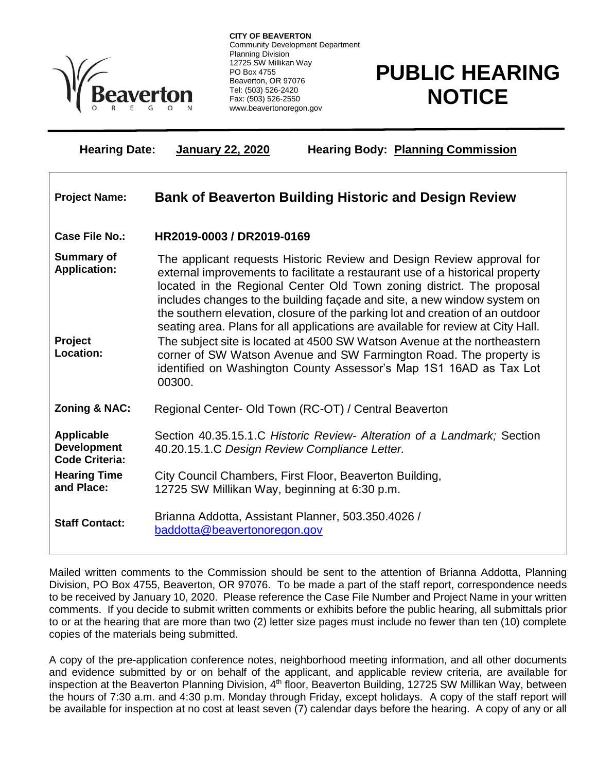

Ξ

**CITY OF BEAVERTON** Community Development Department Planning Division 12725 SW Millikan Way PO Box 4755 Beaverton, OR 97076 Tel: (503) 526-2420 Fax: (503) 526-2550 www.beavertonoregon.gov

## **PUBLIC HEARING NOTICE**

**Hearing Date: January 22, 2020 Hearing Body: Planning Commission**

| <b>Project Name:</b>                                             | <b>Bank of Beaverton Building Historic and Design Review</b>                                                                                                                                                                                                                                                                                                                                                                                                                                                                                                |
|------------------------------------------------------------------|-------------------------------------------------------------------------------------------------------------------------------------------------------------------------------------------------------------------------------------------------------------------------------------------------------------------------------------------------------------------------------------------------------------------------------------------------------------------------------------------------------------------------------------------------------------|
| Case File No.:                                                   | HR2019-0003 / DR2019-0169                                                                                                                                                                                                                                                                                                                                                                                                                                                                                                                                   |
| <b>Summary of</b><br><b>Application:</b><br>Project              | The applicant requests Historic Review and Design Review approval for<br>external improvements to facilitate a restaurant use of a historical property<br>located in the Regional Center Old Town zoning district. The proposal<br>includes changes to the building facade and site, a new window system on<br>the southern elevation, closure of the parking lot and creation of an outdoor<br>seating area. Plans for all applications are available for review at City Hall.<br>The subject site is located at 4500 SW Watson Avenue at the northeastern |
| Location:                                                        | corner of SW Watson Avenue and SW Farmington Road. The property is<br>identified on Washington County Assessor's Map 1S1 16AD as Tax Lot<br>00300.                                                                                                                                                                                                                                                                                                                                                                                                          |
| <b>Zoning &amp; NAC:</b>                                         | Regional Center- Old Town (RC-OT) / Central Beaverton                                                                                                                                                                                                                                                                                                                                                                                                                                                                                                       |
| <b>Applicable</b><br><b>Development</b><br><b>Code Criteria:</b> | Section 40.35.15.1.C Historic Review- Alteration of a Landmark; Section<br>40.20.15.1.C Design Review Compliance Letter.                                                                                                                                                                                                                                                                                                                                                                                                                                    |
| <b>Hearing Time</b><br>and Place:                                | City Council Chambers, First Floor, Beaverton Building,<br>12725 SW Millikan Way, beginning at 6:30 p.m.                                                                                                                                                                                                                                                                                                                                                                                                                                                    |
| <b>Staff Contact:</b>                                            | Brianna Addotta, Assistant Planner, 503.350.4026 /<br>baddotta@beavertonoregon.gov                                                                                                                                                                                                                                                                                                                                                                                                                                                                          |

Mailed written comments to the Commission should be sent to the attention of Brianna Addotta, Planning Division, PO Box 4755, Beaverton, OR 97076. To be made a part of the staff report, correspondence needs to be received by January 10, 2020. Please reference the Case File Number and Project Name in your written comments. If you decide to submit written comments or exhibits before the public hearing, all submittals prior to or at the hearing that are more than two (2) letter size pages must include no fewer than ten (10) complete copies of the materials being submitted.

A copy of the pre-application conference notes, neighborhood meeting information, and all other documents and evidence submitted by or on behalf of the applicant, and applicable review criteria, are available for inspection at the Beaverton Planning Division, 4<sup>th</sup> floor, Beaverton Building, 12725 SW Millikan Way, between the hours of 7:30 a.m. and 4:30 p.m. Monday through Friday, except holidays. A copy of the staff report will be available for inspection at no cost at least seven (7) calendar days before the hearing. A copy of any or all